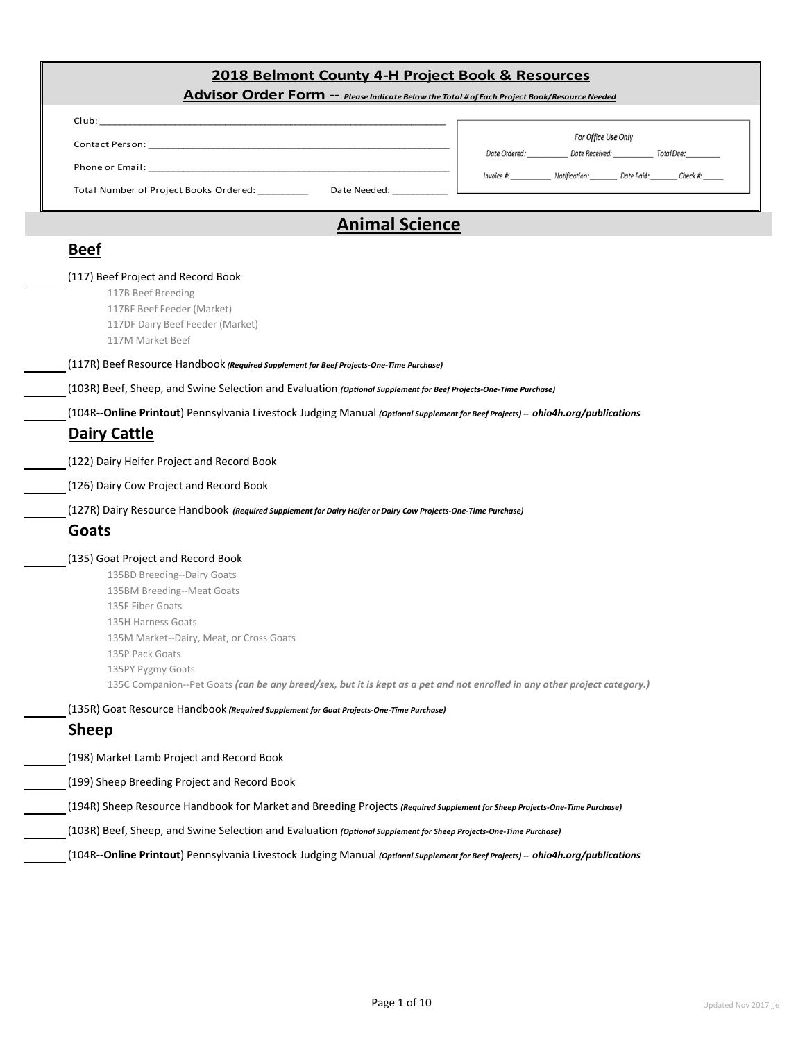#### **2018 Belmont County 4-H Project Book & Resources**

|      | Advisor Order Form -- Please Indicate Below the Total # of Each Project Book/Resource Needed |  |
|------|----------------------------------------------------------------------------------------------|--|
|      |                                                                                              |  |
| Club |                                                                                              |  |

| <b>Contact Person:</b> |  |  |  |
|------------------------|--|--|--|
|                        |  |  |  |

Phone or Email:

Total Number of Project Books Ordered: \_\_\_\_\_\_\_\_\_\_ Date Needed: \_\_\_\_\_\_\_\_\_\_\_

| Invoice #: | Notification: |
|------------|---------------|
|            |               |

Date Ordered:

For Office Use Only Date Received:

Total Due:

 $Check$ #:

Date Paid:

### **Animal Science**

### **Beef**

## (117) Beef Project and Record Book

117B Beef Breeding 117BF Beef Feeder (Market)

117DF Dairy Beef Feeder (Market)

117M Market Beef

#### (117R) Beef Resource Handbook *(Required Supplement for Beef Projects-One-Time Purchase)*

|  |  | (103R) Beef, Sheep, and Swine Selection and Evaluation (Optional Supplement for Beef Projects-One-Time Purchase) |
|--|--|------------------------------------------------------------------------------------------------------------------|
|  |  |                                                                                                                  |

#### (104R**--Online Printout**) Pennsylvania Livestock Judging Manual *(Optional Supplement for Beef Projects) -- ohio4h.org/publications*

#### **Dairy Cattle**

(122) Dairy Heifer Project and Record Book

(126) Dairy Cow Project and Record Book

(127R) Dairy Resource Handbook *(Required Supplement for Dairy Heifer or Dairy Cow Projects-One-Time Purchase)*

### **Goats**

#### (135) Goat Project and Record Book

- 135BD Breeding--Dairy Goats 135BM Breeding--Meat Goats 135F Fiber Goats 135H Harness Goats 135M Market--Dairy, Meat, or Cross Goats 135P Pack Goats 135PY Pygmy Goats 135C Companion--Pet Goats *(can be any breed/sex, but it is kept as a pet and not enrolled in any other project category.)*
- (135R) Goat Resource Handbook *(Required Supplement for Goat Projects-One-Time Purchase)*

### **Sheep**

- (198) Market Lamb Project and Record Book
- (199) Sheep Breeding Project and Record Book
- (194R) Sheep Resource Handbook for Market and Breeding Projects *(Required Supplement for Sheep Projects-One-Time Purchase)*
- (103R) Beef, Sheep, and Swine Selection and Evaluation *(Optional Supplement for Sheep Projects-One-Time Purchase)*
	- (104R**--Online Printout**) Pennsylvania Livestock Judging Manual *(Optional Supplement for Beef Projects) -- ohio4h.org/publications*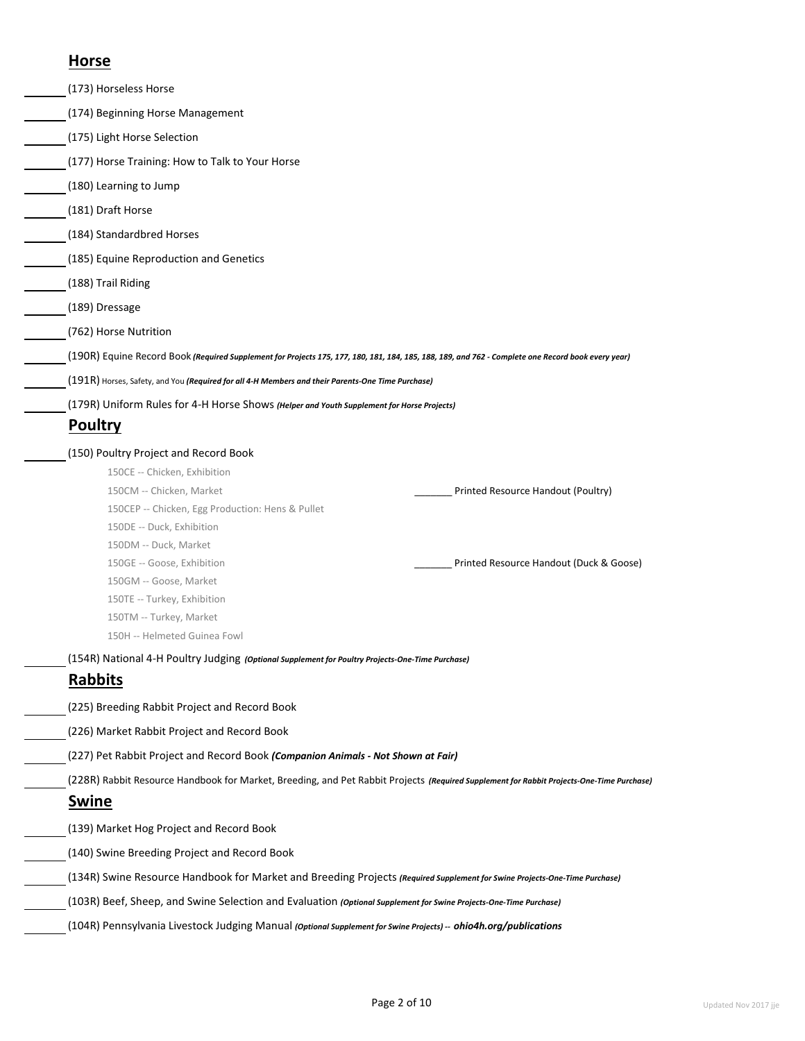### **Horse**

| (173) Horseless Horse                                                                                                                              |                                         |
|----------------------------------------------------------------------------------------------------------------------------------------------------|-----------------------------------------|
|                                                                                                                                                    |                                         |
| (174) Beginning Horse Management                                                                                                                   |                                         |
| (175) Light Horse Selection                                                                                                                        |                                         |
| (177) Horse Training: How to Talk to Your Horse                                                                                                    |                                         |
| (180) Learning to Jump                                                                                                                             |                                         |
| (181) Draft Horse                                                                                                                                  |                                         |
| (184) Standardbred Horses                                                                                                                          |                                         |
| (185) Equine Reproduction and Genetics                                                                                                             |                                         |
| (188) Trail Riding                                                                                                                                 |                                         |
| (189) Dressage                                                                                                                                     |                                         |
| (762) Horse Nutrition                                                                                                                              |                                         |
| (190R) Equine Record Book (Required Supplement for Projects 175, 177, 180, 181, 184, 185, 188, 189, and 762 - Complete one Record book every year) |                                         |
| (191R) Horses, Safety, and You (Required for all 4-H Members and their Parents-One Time Purchase)                                                  |                                         |
| (179R) Uniform Rules for 4-H Horse Shows (Helper and Youth Supplement for Horse Projects)                                                          |                                         |
| Poultry                                                                                                                                            |                                         |
| (150) Poultry Project and Record Book                                                                                                              |                                         |
| 150CE -- Chicken, Exhibition                                                                                                                       |                                         |
| 150CM -- Chicken, Market                                                                                                                           | Printed Resource Handout (Poultry)      |
| 150CEP -- Chicken, Egg Production: Hens & Pullet                                                                                                   |                                         |
| 150DE -- Duck, Exhibition                                                                                                                          |                                         |
| 150DM -- Duck, Market                                                                                                                              |                                         |
| 150GE -- Goose, Exhibition                                                                                                                         | Printed Resource Handout (Duck & Goose) |
| 150GM -- Goose, Market                                                                                                                             |                                         |
| 150TE -- Turkey, Exhibition                                                                                                                        |                                         |
| 150TM -- Turkey, Market                                                                                                                            |                                         |
| 150H -- Helmeted Guinea Fowl                                                                                                                       |                                         |
| (154R) National 4-H Poultry Judging (Optional Supplement for Poultry Projects-One-Time Purchase)                                                   |                                         |
| <b>Rabbits</b>                                                                                                                                     |                                         |
| (225) Breeding Rabbit Project and Record Book                                                                                                      |                                         |
| (226) Market Rabbit Project and Record Book                                                                                                        |                                         |
| (227) Pet Rabbit Project and Record Book (Companion Animals - Not Shown at Fair)                                                                   |                                         |
| (228R) Rabbit Resource Handbook for Market, Breeding, and Pet Rabbit Projects (Required Supplement for Rabbit Projects-One-Time Purchase)          |                                         |
| Swine                                                                                                                                              |                                         |
| (139) Market Hog Project and Record Book                                                                                                           |                                         |
| (140) Swine Breeding Project and Record Book                                                                                                       |                                         |
| (134R) Swine Resource Handbook for Market and Breeding Projects (Required Supplement for Swine Projects-One-Time Purchase)                         |                                         |
| (103R) Beef, Sheep, and Swine Selection and Evaluation (Optional Supplement for Swine Projects-One-Time Purchase)                                  |                                         |
| (104R) Pennsylvania Livestock Judging Manual (Optional Supplement for Swine Projects) -- ohio4h.org/publications                                   |                                         |
|                                                                                                                                                    |                                         |
|                                                                                                                                                    |                                         |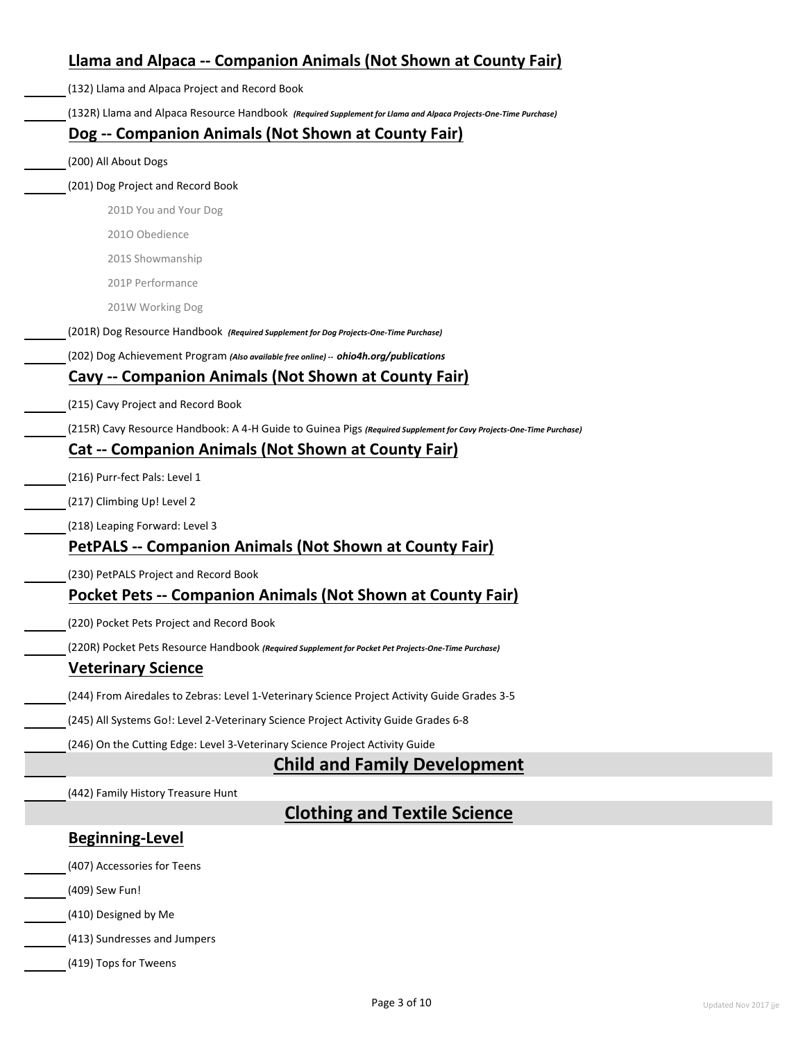| Llama and Alpaca -- Companion Animals (Not Shown at County Fair)                                                    |
|---------------------------------------------------------------------------------------------------------------------|
| (132) Llama and Alpaca Project and Record Book                                                                      |
| (132R) Llama and Alpaca Resource Handbook (Required Supplement for Llama and Alpaca Projects-One-Time Purchase)     |
| Dog -- Companion Animals (Not Shown at County Fair)                                                                 |
| (200) All About Dogs                                                                                                |
| (201) Dog Project and Record Book                                                                                   |
| 201D You and Your Dog                                                                                               |
| 2010 Obedience                                                                                                      |
| 201S Showmanship                                                                                                    |
| 201P Performance                                                                                                    |
| 201W Working Dog                                                                                                    |
| (201R) Dog Resource Handbook (Required Supplement for Dog Projects-One-Time Purchase)                               |
| (202) Dog Achievement Program (Also available free online) -- ohio4h.org/publications                               |
| Cavy -- Companion Animals (Not Shown at County Fair)                                                                |
| (215) Cavy Project and Record Book                                                                                  |
| (215R) Cavy Resource Handbook: A 4-H Guide to Guinea Pigs (Required Supplement for Cavy Projects-One-Time Purchase) |
| <b>Cat -- Companion Animals (Not Shown at County Fair)</b>                                                          |
| (216) Purr-fect Pals: Level 1                                                                                       |
| (217) Climbing Up! Level 2                                                                                          |
| (218) Leaping Forward: Level 3                                                                                      |
| PetPALS -- Companion Animals (Not Shown at County Fair)                                                             |
| (230) PetPALS Project and Record Book                                                                               |
| <b>Pocket Pets -- Companion Animals (Not Shown at County Fair)</b>                                                  |
| (220) Pocket Pets Project and Record Book                                                                           |
| (220R) Pocket Pets Resource Handbook (Required Supplement for Pocket Pet Projects-One-Time Purchase)                |
| <b>Veterinary Science</b>                                                                                           |
| (244) From Airedales to Zebras: Level 1-Veterinary Science Project Activity Guide Grades 3-5                        |
| (245) All Systems Go!: Level 2-Veterinary Science Project Activity Guide Grades 6-8                                 |
| (246) On the Cutting Edge: Level 3-Veterinary Science Project Activity Guide                                        |
| <b>Child and Family Development</b>                                                                                 |
| (442) Family History Treasure Hunt                                                                                  |
| <b>Clothing and Textile Science</b>                                                                                 |
| <b>Beginning-Level</b>                                                                                              |
| (407) Accessories for Teens                                                                                         |
| (409) Sew Fun!                                                                                                      |
| (410) Designed by Me                                                                                                |
| (413) Sundresses and Jumpers                                                                                        |
| (419) Tops for Tweens                                                                                               |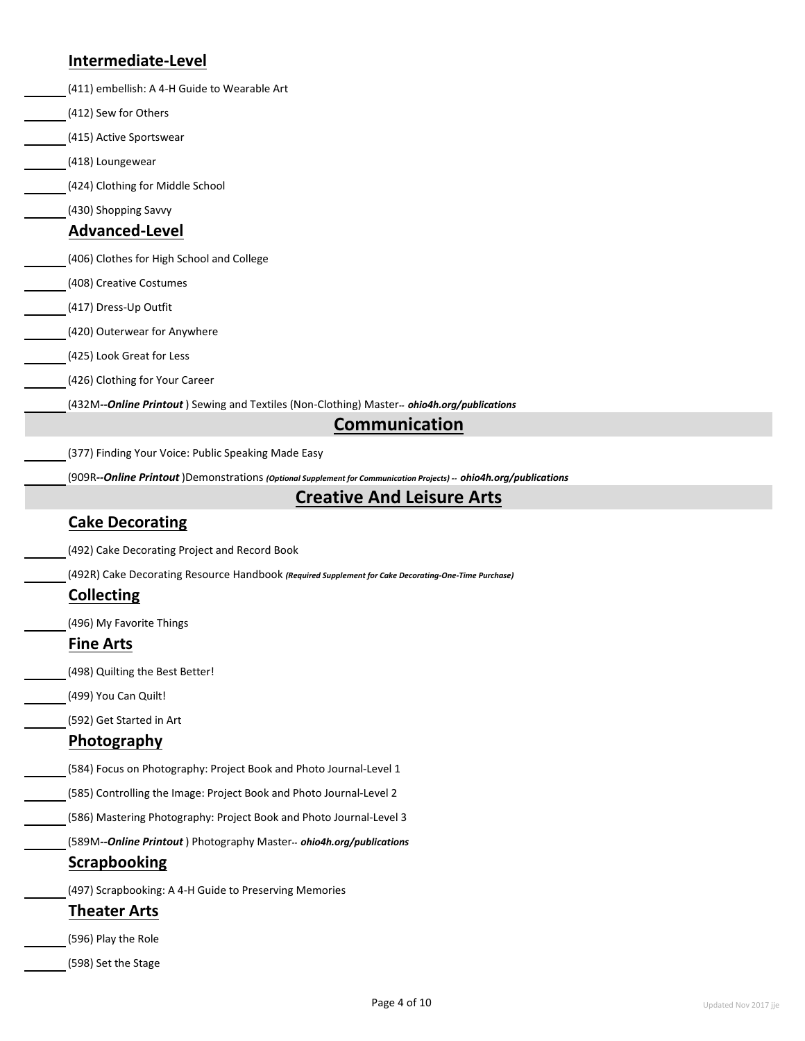### **Intermediate-Level**

| <u>-</u>                                            |                                                                                                                   |
|-----------------------------------------------------|-------------------------------------------------------------------------------------------------------------------|
| (411) embellish: A 4-H Guide to Wearable Art        |                                                                                                                   |
| (412) Sew for Others                                |                                                                                                                   |
| (415) Active Sportswear                             |                                                                                                                   |
| (418) Loungewear                                    |                                                                                                                   |
| (424) Clothing for Middle School                    |                                                                                                                   |
| (430) Shopping Savvy                                |                                                                                                                   |
| <b>Advanced-Level</b>                               |                                                                                                                   |
| (406) Clothes for High School and College           |                                                                                                                   |
| (408) Creative Costumes                             |                                                                                                                   |
| (417) Dress-Up Outfit                               |                                                                                                                   |
| (420) Outerwear for Anywhere                        |                                                                                                                   |
| (425) Look Great for Less                           |                                                                                                                   |
| (426) Clothing for Your Career                      |                                                                                                                   |
|                                                     | (432M--Online Printout) Sewing and Textiles (Non-Clothing) Master-- ohio4h.org/publications                       |
|                                                     | <b>Communication</b>                                                                                              |
| (377) Finding Your Voice: Public Speaking Made Easy |                                                                                                                   |
|                                                     | (909R--Online Printout)Demonstrations (Optional Supplement for Communication Projects) -- ohio4h.org/publications |
|                                                     | <b>Creative And Leisure Arts</b>                                                                                  |
| <b>Cake Decorating</b>                              |                                                                                                                   |
| (492) Cake Decorating Project and Record Book       |                                                                                                                   |
|                                                     | (492R) Cake Decorating Resource Handbook (Required Supplement for Cake Decorating-One-Time Purchase)              |
| <b>Collecting</b>                                   |                                                                                                                   |
| (496) My Favorite Things                            |                                                                                                                   |
| <b>Fine Arts</b>                                    |                                                                                                                   |
| (498) Quilting the Best Better!                     |                                                                                                                   |
| (499) You Can Quilt!                                |                                                                                                                   |
| (592) Get Started in Art                            |                                                                                                                   |
| <b>Photography</b>                                  |                                                                                                                   |
|                                                     | (584) Focus on Photography: Project Book and Photo Journal-Level 1                                                |
|                                                     | (585) Controlling the Image: Project Book and Photo Journal-Level 2                                               |
|                                                     | (586) Mastering Photography: Project Book and Photo Journal-Level 3                                               |
|                                                     | (589M--Online Printout) Photography Master-- ohio4h.org/publications                                              |
| <b>Scrapbooking</b>                                 |                                                                                                                   |
|                                                     | (497) Scrapbooking: A 4-H Guide to Preserving Memories                                                            |
| <b>Theater Arts</b>                                 |                                                                                                                   |
| (596) Play the Role                                 |                                                                                                                   |
| (598) Set the Stage                                 |                                                                                                                   |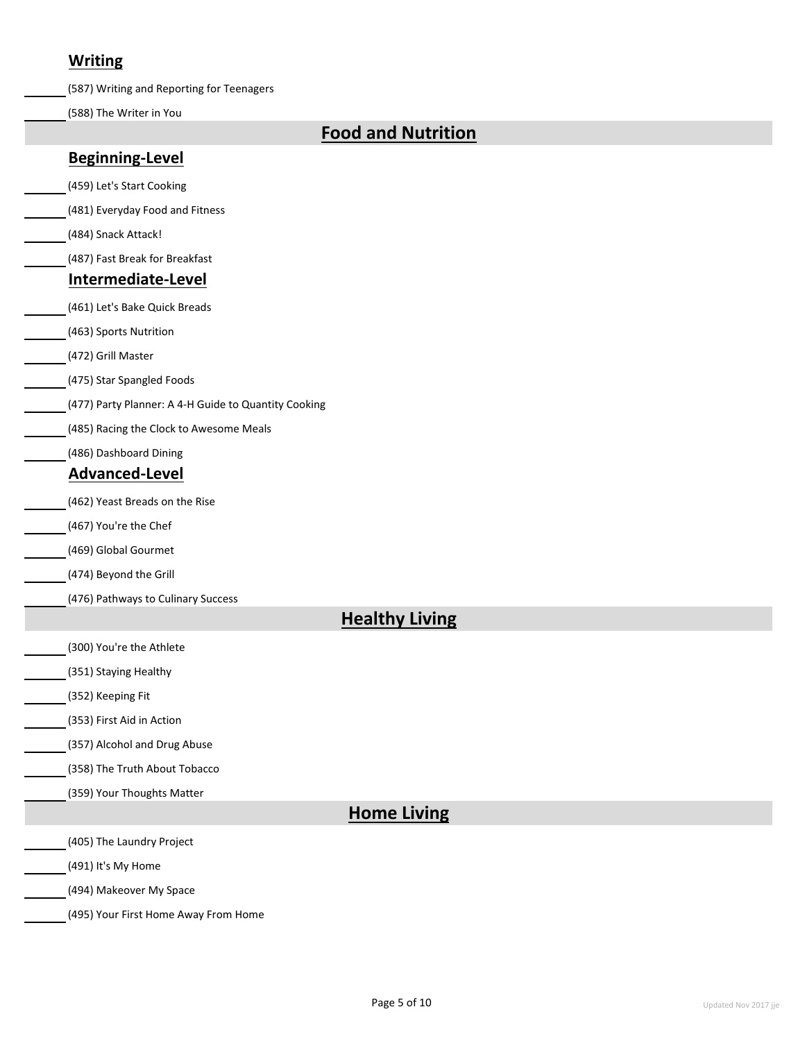### **Writing**

(587) Writing and Reporting for Teenagers

(588) The Writer in You

## **Food and Nutrition**

### **Beginning-Level**

(459) Let's Start Cooking

(481) Everyday Food and Fitness

(484) Snack Attack!

(487) Fast Break for Breakfast

#### **Intermediate-Level**

(461) Let's Bake Quick Breads

(463) Sports Nutrition

(472) Grill Master

(475) Star Spangled Foods

(477) Party Planner: A 4-H Guide to Quantity Cooking

(485) Racing the Clock to Awesome Meals

(486) Dashboard Dining

### **Advanced-Level**

(462) Yeast Breads on the Rise

(467) You're the Chef

(469) Global Gourmet

(474) Beyond the Grill

(476) Pathways to Culinary Success

### **Healthy Living**

(300) You're the Athlete

(351) Staying Healthy

(352) Keeping Fit

(353) First Aid in Action

(357) Alcohol and Drug Abuse

(358) The Truth About Tobacco

(359) Your Thoughts Matter

### **Home Living**

(405) The Laundry Project

(491) It's My Home

(494) Makeover My Space

(495) Your First Home Away From Home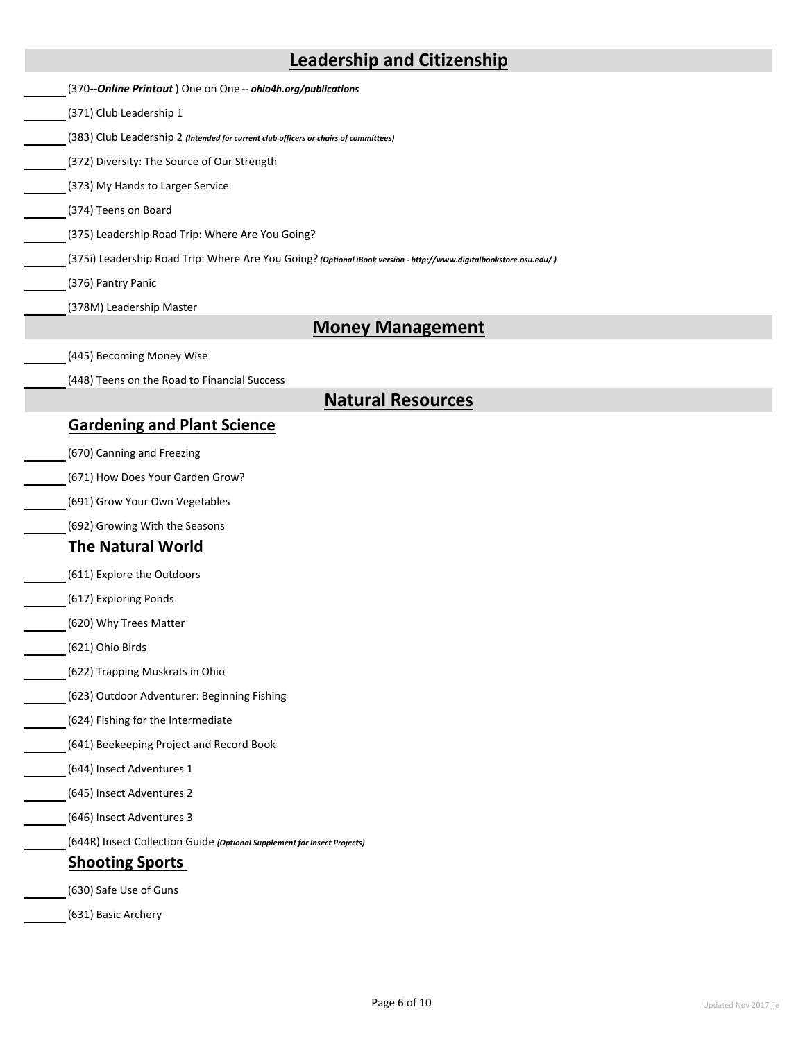|                                             | <b>Leadership and Citizenship</b>                                                                                 |
|---------------------------------------------|-------------------------------------------------------------------------------------------------------------------|
|                                             | (370--Online Printout) One on One -- ohio4h.org/publications                                                      |
| (371) Club Leadership 1                     |                                                                                                                   |
|                                             | (383) Club Leadership 2 (Intended for current club officers or chairs of committees)                              |
| (372) Diversity: The Source of Our Strength |                                                                                                                   |
| (373) My Hands to Larger Service            |                                                                                                                   |
| (374) Teens on Board                        |                                                                                                                   |
|                                             | (375) Leadership Road Trip: Where Are You Going?                                                                  |
|                                             | (375i) Leadership Road Trip: Where Are You Going? (Optional iBook version - http://www.digitalbookstore.osu.edu/) |
| (376) Pantry Panic                          |                                                                                                                   |
| (378M) Leadership Master                    |                                                                                                                   |
|                                             | <b>Money Management</b>                                                                                           |
| (445) Becoming Money Wise                   |                                                                                                                   |
|                                             | (448) Teens on the Road to Financial Success                                                                      |
|                                             | <b>Natural Resources</b>                                                                                          |
| <b>Gardening and Plant Science</b>          |                                                                                                                   |
| (670) Canning and Freezing                  |                                                                                                                   |
| (671) How Does Your Garden Grow?            |                                                                                                                   |
| (691) Grow Your Own Vegetables              |                                                                                                                   |
| (692) Growing With the Seasons              |                                                                                                                   |
| <b>The Natural World</b>                    |                                                                                                                   |
| (611) Explore the Outdoors                  |                                                                                                                   |
| (617) Exploring Ponds                       |                                                                                                                   |
| (620) Why Trees Matter                      |                                                                                                                   |
| (621) Ohio Birds                            |                                                                                                                   |
| (622) Trapping Muskrats in Ohio             |                                                                                                                   |
|                                             | (623) Outdoor Adventurer: Beginning Fishing                                                                       |
| (624) Fishing for the Intermediate          |                                                                                                                   |
| (641) Beekeeping Project and Record Book    |                                                                                                                   |
|                                             |                                                                                                                   |
| (644) Insect Adventures 1                   |                                                                                                                   |
| (645) Insect Adventures 2                   |                                                                                                                   |
| (646) Insect Adventures 3                   |                                                                                                                   |
|                                             | (644R) Insect Collection Guide (Optional Supplement for Insect Projects)                                          |
| <b>Shooting Sports</b>                      |                                                                                                                   |
| (630) Safe Use of Guns                      |                                                                                                                   |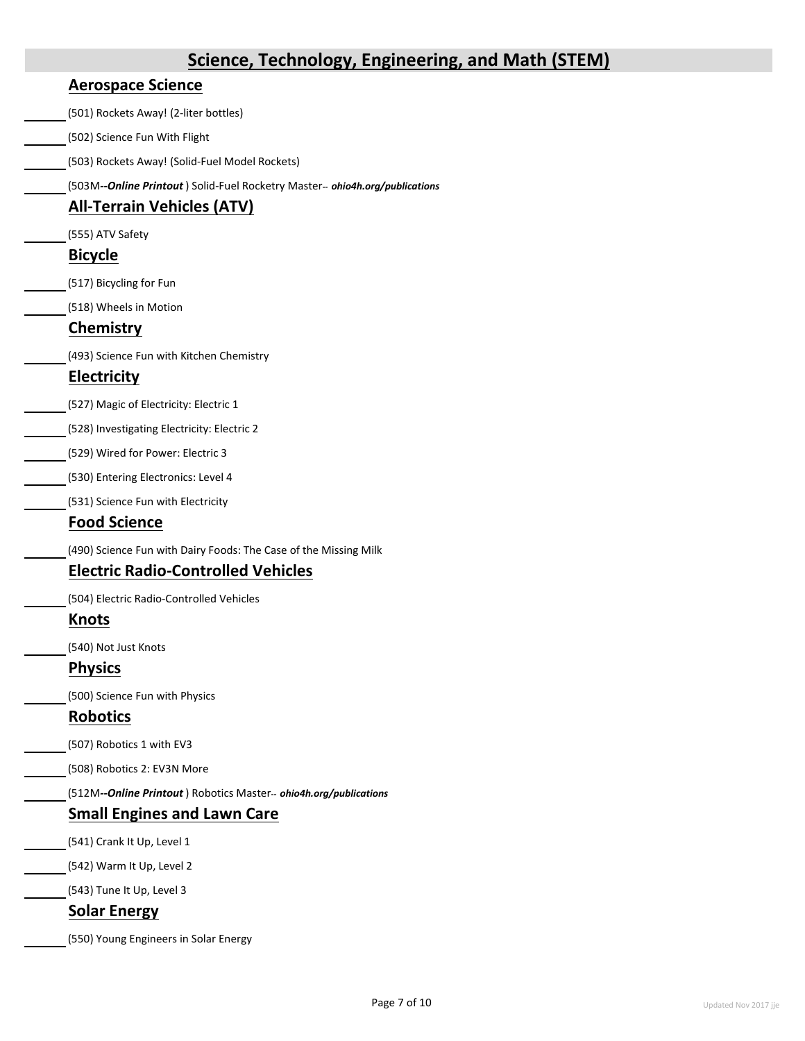# **Aerospace Science** (501) Rockets Away! (2-liter bottles) (502) Science Fun With Flight (503) Rockets Away! (Solid-Fuel Model Rockets) (503M*--Online Printout* ) Solid-Fuel Rocketry Master*-- ohio4h.org/publications* **All-Terrain Vehicles (ATV)** (555) ATV Safety **Bicycle** (517) Bicycling for Fun (518) Wheels in Motion **Chemistry** (493) Science Fun with Kitchen Chemistry **Electricity** (527) Magic of Electricity: Electric 1 (528) Investigating Electricity: Electric 2 (529) Wired for Power: Electric 3 (530) Entering Electronics: Level 4 (531) Science Fun with Electricity **Food Science** (490) Science Fun with Dairy Foods: The Case of the Missing Milk **Electric Radio-Controlled Vehicles** (504) Electric Radio-Controlled Vehicles **Knots** (540) Not Just Knots **Physics** (500) Science Fun with Physics **Robotics** (507) Robotics 1 with EV3 (508) Robotics 2: EV3N More (512M*--Online Printout* ) Robotics Master*-- ohio4h.org/publications* **Small Engines and Lawn Care** (541) Crank It Up, Level 1 (542) Warm It Up, Level 2 (543) Tune It Up, Level 3 **Solar Energy** (550) Young Engineers in Solar Energy **Science, Technology, Engineering, and Math (STEM)**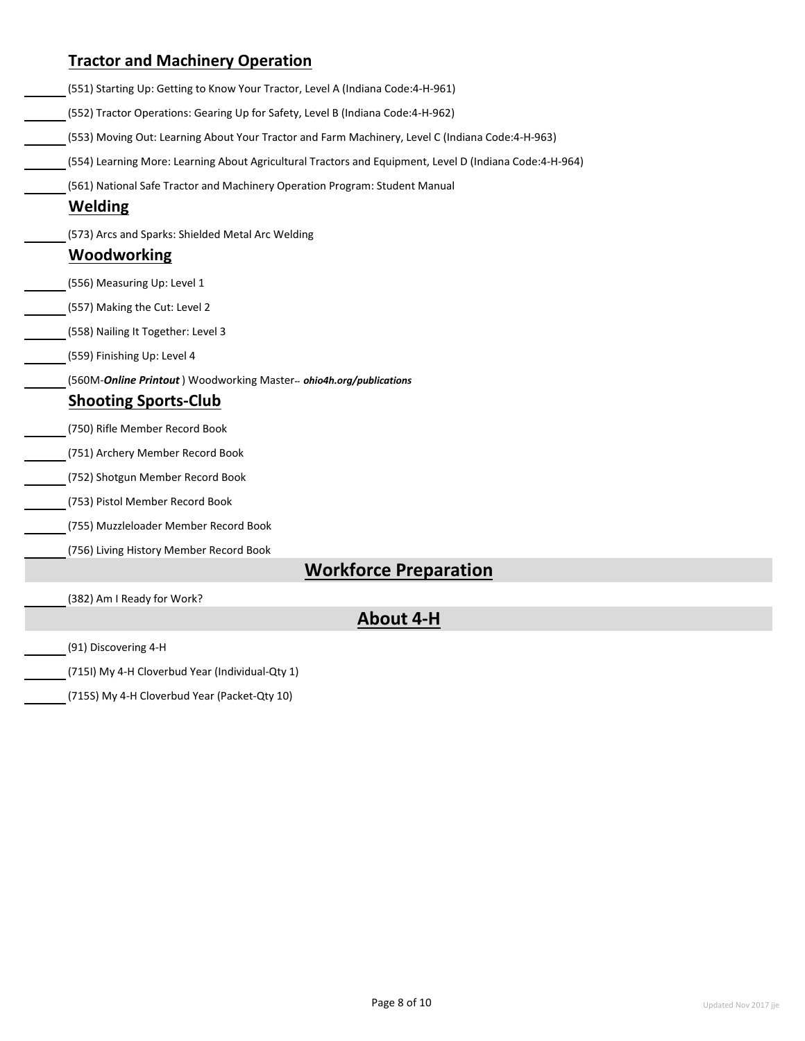|                                         | (551) Starting Up: Getting to Know Your Tractor, Level A (Indiana Code:4-H-961)                         |
|-----------------------------------------|---------------------------------------------------------------------------------------------------------|
|                                         | (552) Tractor Operations: Gearing Up for Safety, Level B (Indiana Code:4-H-962)                         |
|                                         | (553) Moving Out: Learning About Your Tractor and Farm Machinery, Level C (Indiana Code:4-H-963)        |
|                                         | (554) Learning More: Learning About Agricultural Tractors and Equipment, Level D (Indiana Code:4-H-964) |
|                                         | (561) National Safe Tractor and Machinery Operation Program: Student Manual                             |
| <b>Welding</b>                          |                                                                                                         |
|                                         | (573) Arcs and Sparks: Shielded Metal Arc Welding                                                       |
| <b>Woodworking</b>                      |                                                                                                         |
| (556) Measuring Up: Level 1             |                                                                                                         |
| (557) Making the Cut: Level 2           |                                                                                                         |
| (558) Nailing It Together: Level 3      |                                                                                                         |
| (559) Finishing Up: Level 4             |                                                                                                         |
|                                         | (560M-Online Printout) Woodworking Master-- ohio4h.org/publications                                     |
| <b>Shooting Sports-Club</b>             |                                                                                                         |
| (750) Rifle Member Record Book          |                                                                                                         |
| (751) Archery Member Record Book        |                                                                                                         |
| (752) Shotgun Member Record Book        |                                                                                                         |
| (753) Pistol Member Record Book         |                                                                                                         |
| (755) Muzzleloader Member Record Book   |                                                                                                         |
| (756) Living History Member Record Book |                                                                                                         |
|                                         | <b>Workforce Preparation</b>                                                                            |
| (382) Am I Ready for Work?              |                                                                                                         |
|                                         | <b>About 4-H</b>                                                                                        |

(715S) My 4-H Cloverbud Year (Packet-Qty 10)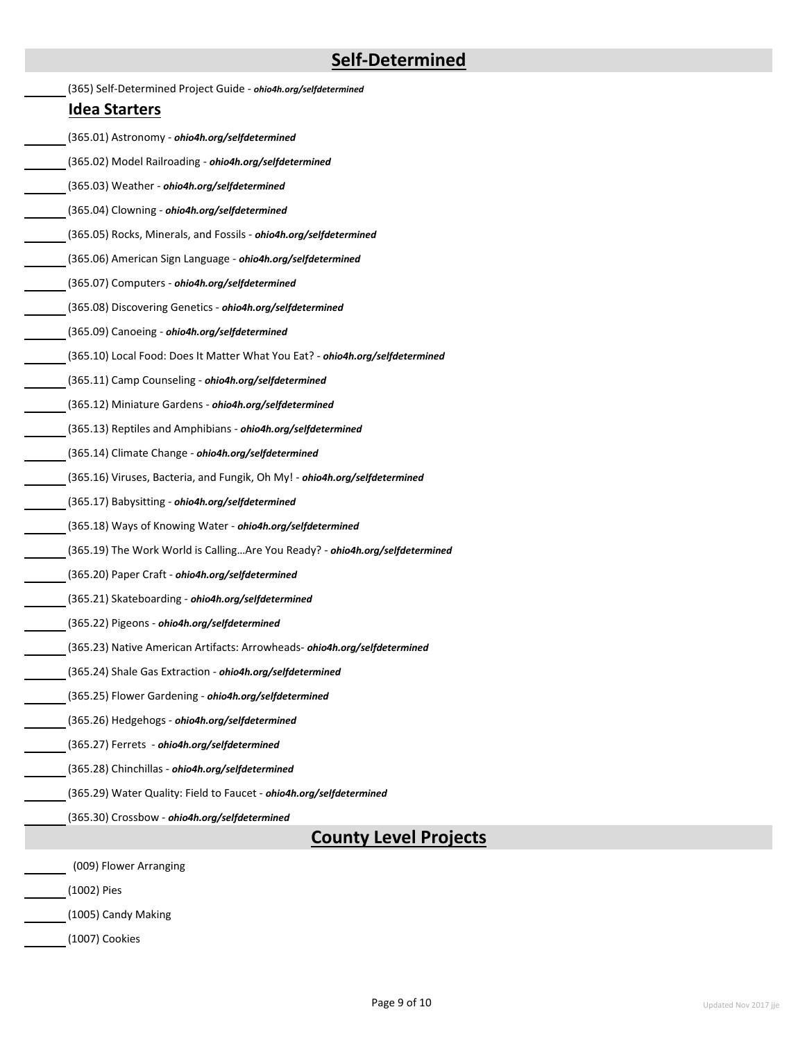# **Self-Determined**

| (365) Self-Determined Project Guide - ohio4h.org/selfdetermined               |  |
|-------------------------------------------------------------------------------|--|
| <u>Idea Starters</u>                                                          |  |
| (365.01) Astronomy - ohio4h.org/selfdetermined                                |  |
| (365.02) Model Railroading - ohio4h.org/selfdetermined                        |  |
| (365.03) Weather - ohio4h.org/selfdetermined                                  |  |
| (365.04) Clowning - ohio4h.org/selfdetermined                                 |  |
| (365.05) Rocks, Minerals, and Fossils - ohio4h.org/selfdetermined             |  |
| (365.06) American Sign Language - ohio4h.org/selfdetermined                   |  |
| (365.07) Computers - ohio4h.org/selfdetermined                                |  |
| (365.08) Discovering Genetics - ohio4h.org/selfdetermined                     |  |
| (365.09) Canoeing - ohio4h.org/selfdetermined                                 |  |
| (365.10) Local Food: Does It Matter What You Eat? - ohio4h.org/selfdetermined |  |
| (365.11) Camp Counseling - ohio4h.org/selfdetermined                          |  |
| (365.12) Miniature Gardens - ohio4h.org/selfdetermined                        |  |
| (365.13) Reptiles and Amphibians - ohio4h.org/selfdetermined                  |  |
| (365.14) Climate Change - ohio4h.org/selfdetermined                           |  |
| (365.16) Viruses, Bacteria, and Fungik, Oh My! - ohio4h.org/selfdetermined    |  |
| (365.17) Babysitting - ohio4h.org/selfdetermined                              |  |
| (365.18) Ways of Knowing Water - ohio4h.org/selfdetermined                    |  |
| (365.19) The Work World is CallingAre You Ready? - ohio4h.org/selfdetermined  |  |
| (365.20) Paper Craft - ohio4h.org/selfdetermined                              |  |
| (365.21) Skateboarding - ohio4h.org/selfdetermined                            |  |
| (365.22) Pigeons - ohio4h.org/selfdetermined                                  |  |
| (365.23) Native American Artifacts: Arrowheads- ohio4h.org/selfdetermined     |  |
| (365.24) Shale Gas Extraction - ohio4h.org/selfdetermined                     |  |
| (365.25) Flower Gardening - ohio4h.org/selfdetermined                         |  |
| (365.26) Hedgehogs - ohio4h.org/selfdetermined                                |  |
| (365.27) Ferrets - ohio4h.org/selfdetermined                                  |  |
| (365.28) Chinchillas - ohio4h.org/selfdetermined                              |  |
| (365.29) Water Quality: Field to Faucet - ohio4h.org/selfdetermined           |  |
| (365.30) Crossbow - ohio4h.org/selfdetermined                                 |  |
| <b>County Level Projects</b>                                                  |  |
| (009) Flower Arranging                                                        |  |
| (1002) Pies                                                                   |  |

(1007) Cookies